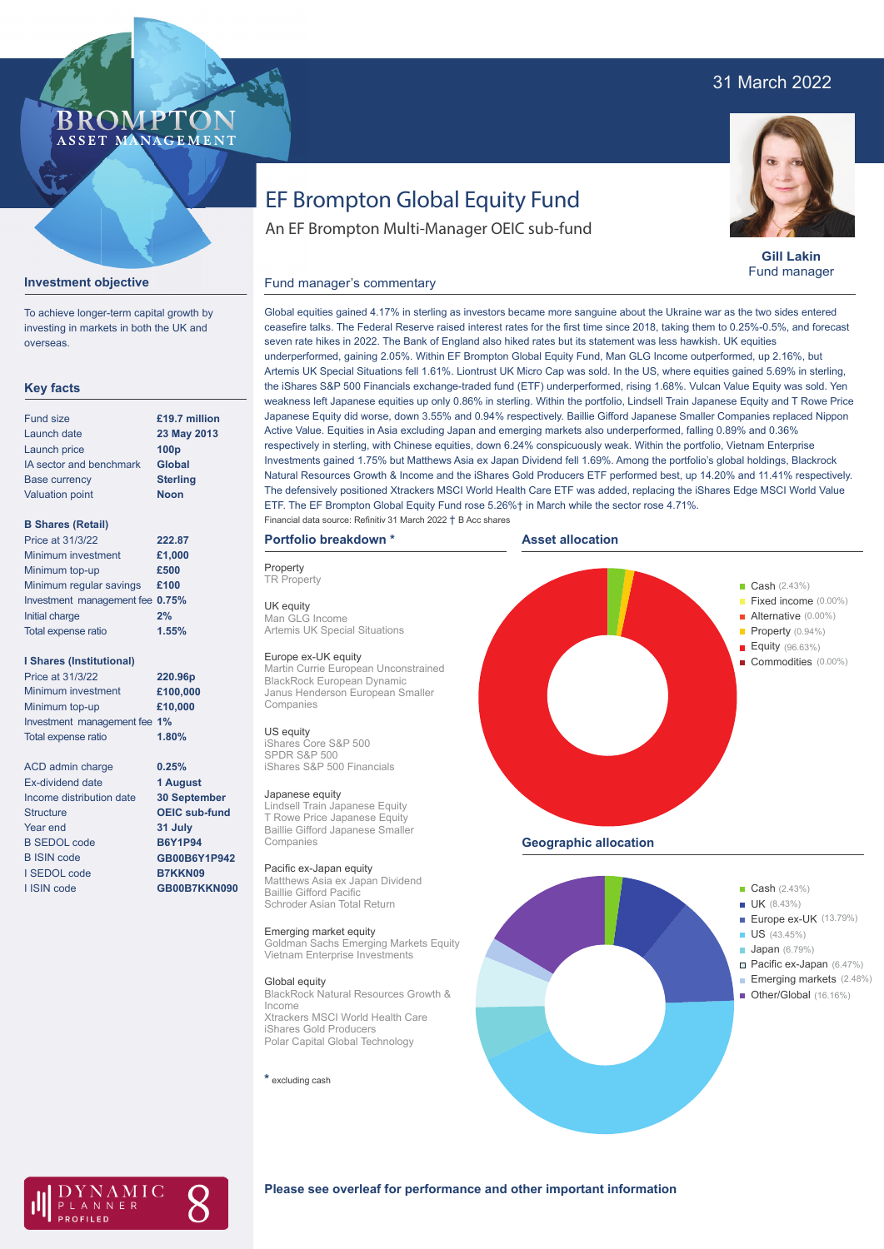# 31 March 2022

# **BROMP** ASSET MANAGEMENT

### **Gill Lakin** Fund manager

#### **Investment objective**

To achieve longer-term capital growth by investing in markets in both the UK and overseas.

#### **Key facts**

| <b>Fund size</b>        | £19.7 million    |
|-------------------------|------------------|
| Launch date             | 23 May 2013      |
| Launch price            | 100 <sub>p</sub> |
| IA sector and benchmark | <b>Global</b>    |
| <b>Base currency</b>    | <b>Sterling</b>  |
| <b>Valuation point</b>  | <b>Noon</b>      |
|                         |                  |

#### **B Shares (Retail)**

| Price at 31/3/22                | 222.87 |
|---------------------------------|--------|
| Minimum investment              | £1,000 |
| Minimum top-up                  | £500   |
| Minimum regular savings         | £100   |
| Investment management fee 0.75% |        |
| Initial charge                  | 2%     |
| Total expense ratio             | 1.55%  |

#### **I Shares (Institutional)**

Minimum investment Minimum top-up Investment management fee **1%** Total expense ratio **£100,000 £10,000** Price at 31/3/22 **220.96p 1.80%**

ACD admin charge Ex-dividend date Income distribution date Structure Year end B SEDOL code B ISIN code I SEDOL code I ISIN code

**0.25% 1 August 30 September OEIC sub-fund 31 July B6Y1P94 GB00B6Y1P942 B7KKN09 GB00B7KKN090**

# EF Brompton Global Equity Fund

An EF Brompton Multi-Manager OEIC sub-fund

#### Fund manager's commentary

Global equities gained 4.17% in sterling as investors became more sanguine about the Ukraine war as the two sides entered ceasefire talks. The Federal Reserve raised interest rates for the first time since 2018, taking them to 0.25%-0.5%, and forecast seven rate hikes in 2022. The Bank of England also hiked rates but its statement was less hawkish. UK equities underperformed, gaining 2.05%. Within EF Brompton Global Equity Fund, Man GLG Income outperformed, up 2.16%, but Artemis UK Special Situations fell 1.61%. Liontrust UK Micro Cap was sold. In the US, where equities gained 5.69% in sterling, the iShares S&P 500 Financials exchange-traded fund (ETF) underperformed, rising 1.68%. Vulcan Value Equity was sold. Yen weakness left Japanese equities up only 0.86% in sterling. Within the portfolio, Lindsell Train Japanese Equity and T Rowe Price Japanese Equity did worse, down 3.55% and 0.94% respectively. Baillie Gifford Japanese Smaller Companies replaced Nippon Active Value. Equities in Asia excluding Japan and emerging markets also underperformed, falling 0.89% and 0.36% respectively in sterling, with Chinese equities, down 6.24% conspicuously weak. Within the portfolio, Vietnam Enterprise Investments gained 1.75% but Matthews Asia ex Japan Dividend fell 1.69%. Among the portfolio's global holdings, Blackrock Natural Resources Growth & Income and the iShares Gold Producers ETF performed best, up 14.20% and 11.41% respectively. The defensively positioned Xtrackers MSCI World Health Care ETF was added, replacing the iShares Edge MSCI World Value ETF. The EF Brompton Global Equity Fund rose 5.26%† in March while the sector rose 4.71%. Financial data source: Refinitiv 31 March 2022 † B Acc shares

# **Portfolio breakdown \***

**Property TR** Property

UK equity Man GLG Income Artemis UK Special Situations

#### Europe ex-UK equity

Martin Currie European Unconstrained BlackRock European Dynamic Janus Henderson European Smaller Companies

#### US equity

iShares Core S&P 500 SPDR S&P 500 iShares S&P 500 Financials

#### Japanese equity

Lindsell Train Japanese Equity T Rowe Price Japanese Equity Baillie Gifford Japanese Smaller Companies

### Pacific ex-Japan equity

Matthews Asia ex Japan Dividend Baillie Gifford Pacific Schroder Asian Total Return

#### Emerging market equity

Goldman Sachs Emerging Markets Equity Vietnam Enterprise Investments

#### Global equity

BlackRock Natural Resources Growth & Income Xtrackers MSCI World Health Care iShares Gold Producers Polar Capital Global Technology

#### **\*** excluding cash



**Geographic allocation**





### **Please see overleaf for performance and other important information**